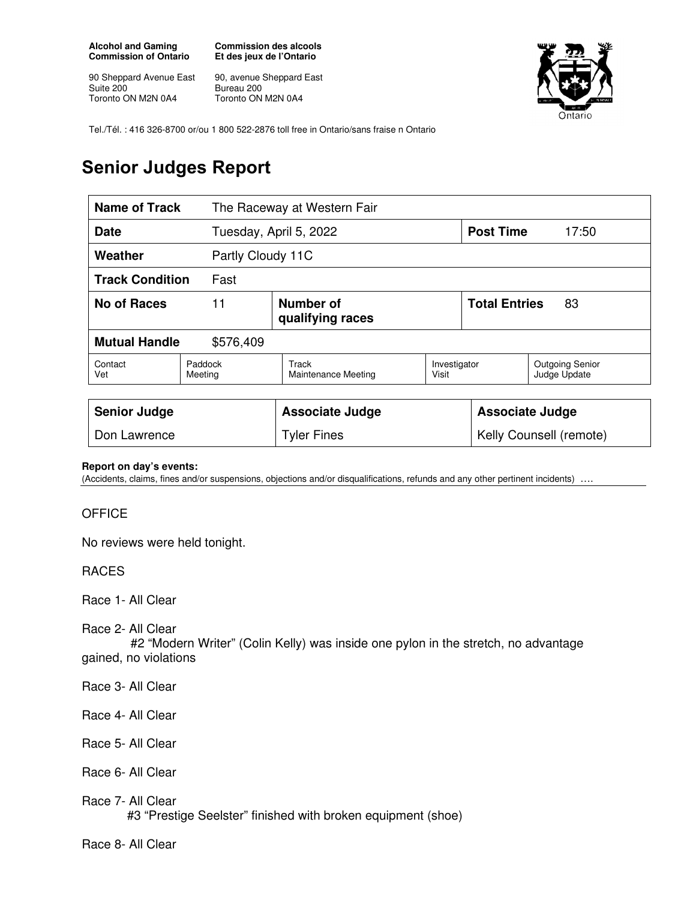**Alcohol and Gaming Commission of Ontario** 

90 Sheppard Avenue East Suite 200 Toronto ON M2N 0A4

**Commission des alcools Et des jeux de l'Ontario** 

90, avenue Sheppard East Bureau 200 Toronto ON M2N 0A4



Tel./Tél. : 416 326-8700 or/ou 1 800 522-2876 toll free in Ontario/sans fraise n Ontario

## **Senior Judges Report**

| <b>Name of Track</b><br>The Raceway at Western Fair |                    |                               |                       |                            |                                        |  |
|-----------------------------------------------------|--------------------|-------------------------------|-----------------------|----------------------------|----------------------------------------|--|
| Date                                                |                    | Tuesday, April 5, 2022        |                       | <b>Post Time</b>           | 17:50                                  |  |
| Weather<br>Partly Cloudy 11C                        |                    |                               |                       |                            |                                        |  |
| <b>Track Condition</b><br>Fast                      |                    |                               |                       |                            |                                        |  |
| 11<br><b>No of Races</b>                            |                    | Number of<br>qualifying races |                       | <b>Total Entries</b><br>83 |                                        |  |
| <b>Mutual Handle</b><br>\$576,409                   |                    |                               |                       |                            |                                        |  |
| Contact<br>Vet                                      | Paddock<br>Meeting | Track<br>Maintenance Meeting  | Investigator<br>Visit |                            | <b>Outgoing Senior</b><br>Judge Update |  |
|                                                     |                    |                               |                       |                            |                                        |  |
| <b>Senior Judge</b>                                 |                    | <b>Associate Judge</b>        |                       | <b>Associate Judge</b>     |                                        |  |
| Don Lawrence                                        |                    | <b>Tyler Fines</b>            |                       |                            | Kelly Counsell (remote)                |  |

## **Report on day's events:**

(Accidents, claims, fines and/or suspensions, objections and/or disqualifications, refunds and any other pertinent incidents) ….

## **OFFICE**

No reviews were held tonight.

## RACES

Race 1- All Clear

Race 2- All Clear

 #2 "Modern Writer" (Colin Kelly) was inside one pylon in the stretch, no advantage gained, no violations

- Race 3- All Clear
- Race 4- All Clear
- Race 5- All Clear
- Race 6- All Clear
- Race 7- All Clear
	- #3 "Prestige Seelster" finished with broken equipment (shoe)